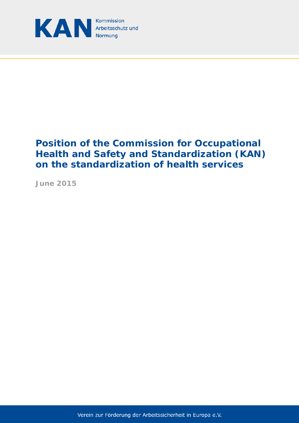

# **Position of the Commission for Occupational Health and Safety and Standardization (KAN) on the standardization of health services**

**June 2015** 

Verein zur Förderung der Arbeitssicherheit in Europa e.V.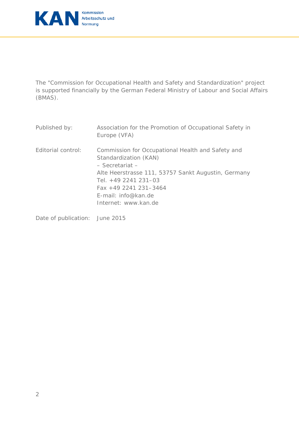

The "Commission for Occupational Health and Safety and Standardization" project is supported financially by the German Federal Ministry of Labour and Social Affairs (BMAS).

| Published by:      | Association for the Promotion of Occupational Safety in<br>Europe (VFA)                                                                                                                                                                                       |
|--------------------|---------------------------------------------------------------------------------------------------------------------------------------------------------------------------------------------------------------------------------------------------------------|
| Editorial control: | Commission for Occupational Health and Safety and<br>Standardization (KAN)<br>$-$ Secretariat $-$<br>Alte Heerstrasse 111, 53757 Sankt Augustin, Germany<br>Tel. $+49$ 2241 231-03<br>$Fax + 49$ 2241 231-3464<br>E-mail: info@kan.de<br>Internet: www.kan.de |

Date of publication: June 2015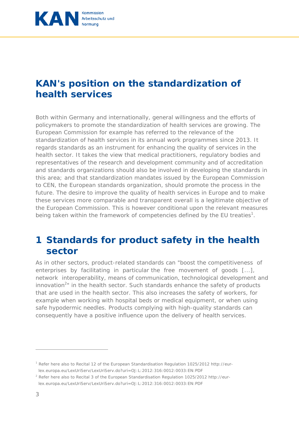

#### **KAN's position on the standardization of health services**

Both within Germany and internationally, general willingness and the efforts of policymakers to promote the standardization of health services are growing. The European Commission for example has referred to the relevance of the standardization of health services in its annual work programmes since 2013. It regards standards as an instrument for enhancing the quality of services in the health sector. It takes the view that medical practitioners, regulatory bodies and representatives of the research and development community and of accreditation and standards organizations should also be involved in developing the standards in this area; and that standardization mandates issued by the European Commission to CEN, the European standards organization, should promote the process in the future. The desire to improve the quality of health services in Europe and to make these services more comparable and transparent overall is a legitimate objective of the European Commission. This is however conditional upon the relevant measures being taken within the framework of competencies defined by the EU treaties<sup>1</sup>.

### **1 Standards for product safety in the health sector**

As in other sectors, product-related standards can "boost the competitiveness of enterprises by facilitating in particular the free movement of goods [...], network interoperability, means of communication, technological development and innovation<sup>2</sup>" in the health sector. Such standards enhance the safety of products that are used in the health sector. This also increases the safety of workers, for example when working with hospital beds or medical equipment, or when using safe hypodermic needles. Products complying with high-quality standards can consequently have a positive influence upon the delivery of health services.

<sup>&</sup>lt;sup>1</sup> Refer here also to Recital 12 of the European Standardisation Regulation 1025/2012 http://eurlex.europa.eu/LexUriServ/LexUriServ.do?uri=OJ:L:2012:316:0012:0033:EN:PDF

<sup>&</sup>lt;sup>2</sup> Refer here also to Recital 3 of the European Standardisation Regulation 1025/2012 http://eurlex.europa.eu/LexUriServ/LexUriServ.do?uri=OJ:L:2012:316:0012:0033:EN:PDF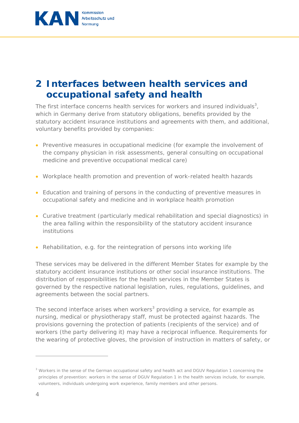

## **2 Interfaces between health services and occupational safety and health**

The first interface concerns health services for workers and insured individuals<sup>3</sup>, which in Germany derive from statutory obligations, benefits provided by the statutory accident insurance institutions and agreements with them, and additional, voluntary benefits provided by companies:

- Preventive measures in occupational medicine (for example the involvement of the company physician in risk assessments, general consulting on occupational medicine and preventive occupational medical care)
- Workplace health promotion and prevention of work-related health hazards
- Education and training of persons in the conducting of preventive measures in occupational safety and medicine and in workplace health promotion
- Curative treatment (particularly medical rehabilitation and special diagnostics) in the area falling within the responsibility of the statutory accident insurance institutions
- Rehabilitation, e.g. for the reintegration of persons into working life

These services may be delivered in the different Member States for example by the statutory accident insurance institutions or other social insurance institutions. The distribution of responsibilities for the health services in the Member States is governed by the respective national legislation, rules, regulations, guidelines, and agreements between the social partners.

The second interface arises when workers<sup>3</sup> providing a service, for example as nursing, medical or physiotherapy staff, must be protected against hazards. The provisions governing the protection of patients (recipients of the service) and of workers (the party delivering it) may have a reciprocal influence. Requirements for the wearing of protective gloves, the provision of instruction in matters of safety, or

<sup>&</sup>lt;sup>3</sup> Workers in the sense of the German occupational safety and health act and DGUV Regulation 1 concerning the principles of prevention: workers in the sense of DGUV Regulation 1 in the health services include, for example, volunteers, individuals undergoing work experience, family members and other persons.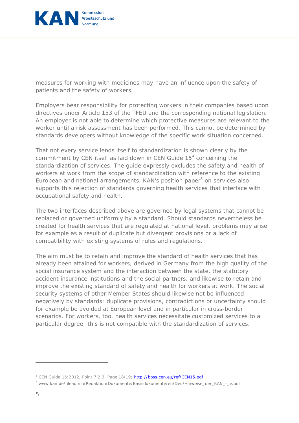

measures for working with medicines may have an influence upon the safety of patients and the safety of workers.

Employers bear responsibility for protecting workers in their companies based upon directives under Article 153 of the TFEU and the corresponding national legislation. An employer is not able to determine which protective measures are relevant to the worker until a risk assessment has been performed. This cannot be determined by standards developers without knowledge of the specific work situation concerned.

That not every service lends itself to standardization is shown clearly by the commitment by CEN itself as laid down in CEN Guide  $15<sup>4</sup>$  concerning the standardization of services. The guide expressly excludes the safety and health of workers at work from the scope of standardization with reference to the existing European and national arrangements. KAN's position paper<sup>5</sup> on services also supports this rejection of standards governing health services that interface with occupational safety and health.

The two interfaces described above are governed by legal systems that cannot be replaced or governed uniformly by a standard. Should standards nevertheless be created for health services that are regulated at national level, problems may arise for example as a result of duplicate but divergent provisions or a lack of compatibility with existing systems of rules and regulations.

The aim must be to retain and improve the standard of health services that has already been attained for workers, derived in Germany from the high quality of the social insurance system and the interaction between the state, the statutory accident insurance institutions and the social partners, and likewise to retain and improve the existing standard of safety and health for workers at work. The social security systems of other Member States should likewise not be influenced negatively by standards: duplicate provisions, contradictions or uncertainty should for example be avoided at European level and in particular in cross-border scenarios. For workers, too, health services necessitate customized services to a particular degree; this is not compatible with the standardization of services.

<sup>&</sup>lt;sup>4</sup> CEN Guide 15:2012, Point 7.2.3, Page 18/19; http://boss.cen.eu/ref/CEN15.pdf

<sup>&</sup>lt;sup>5</sup>www.kan.de/fileadmin/Redaktion/Dokumente/Basisdokumente/en/Deu/Hinweise\_der\_KAN\_-\_e.pdf